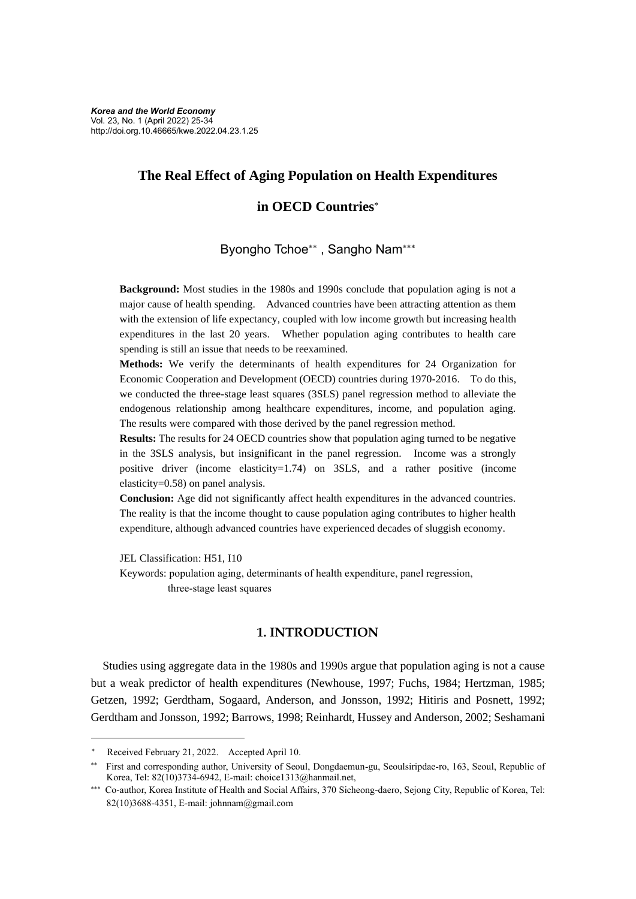# **The Real Effect of Aging Population on Health Expenditures**

# **in OECD Countries**

Byongho Tchoe\*\*, Sangho Nam\*\*\*

**Background:** Most studies in the 1980s and 1990s conclude that population aging is not a major cause of health spending. Advanced countries have been attracting attention as them with the extension of life expectancy, coupled with low income growth but increasing health expenditures in the last 20 years. Whether population aging contributes to health care spending is still an issue that needs to be reexamined.

**Methods:** We verify the determinants of health expenditures for 24 Organization for Economic Cooperation and Development (OECD) countries during 1970-2016. To do this, we conducted the three-stage least squares (3SLS) panel regression method to alleviate the endogenous relationship among healthcare expenditures, income, and population aging. The results were compared with those derived by the panel regression method.

**Results:** The results for 24 OECD countries show that population aging turned to be negative in the 3SLS analysis, but insignificant in the panel regression. Income was a strongly positive driver (income elasticity=1.74) on 3SLS, and a rather positive (income elasticity=0.58) on panel analysis.

**Conclusion:** Age did not significantly affect health expenditures in the advanced countries. The reality is that the income thought to cause population aging contributes to higher health expenditure, although advanced countries have experienced decades of sluggish economy.

JEL Classification: H51, I10

Keywords: population aging, determinants of health expenditure, panel regression, three-stage least squares

## **1. INTRODUCTION**

Studies using aggregate data in the 1980s and 1990s argue that population aging is not a cause but a weak predictor of health expenditures (Newhouse, 1997; Fuchs, 1984; Hertzman, 1985; Getzen, 1992; Gerdtham, Sogaard, Anderson, and Jonsson, 1992; Hitiris and Posnett, 1992; Gerdtham and Jonsson, 1992; Barrows, 1998; Reinhardt, Hussey and Anderson, 2002; Seshamani

Received February 21, 2022. Accepted April 10.

 First and corresponding author, University of Seoul, Dongdaemun-gu, Seoulsiripdae-ro, 163, Seoul, Republic of Korea, Tel: 82(10)3734-6942, E-mail: choice1313@hanmail.net,

<sup>\*\*\*</sup> Co-author, Korea Institute of Health and Social Affairs, 370 Sicheong-daero, Sejong City, Republic of Korea, Tel: 82(10)3688-4351, E-mail: johnnam@gmail.com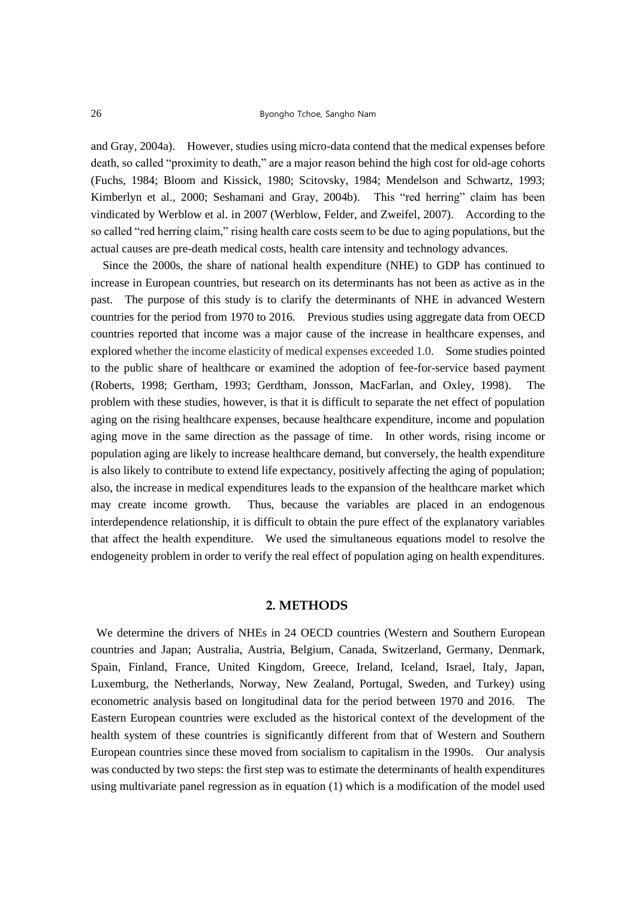#### 26 Byongho Tchoe, Sangho Nam

and Gray, 2004a). However, studies using micro-data contend that the medical expenses before death, so called "proximity to death," are a major reason behind the high cost for old-age cohorts (Fuchs, 1984; Bloom and Kissick, 1980; Scitovsky, 1984; Mendelson and Schwartz, 1993; Kimberlyn et al., 2000; Seshamani and Gray, 2004b). This "red herring" claim has been vindicated by Werblow et al. in 2007 (Werblow, Felder, and Zweifel, 2007). According to the so called "red herring claim," rising health care costs seem to be due to aging populations, but the actual causes are pre-death medical costs, health care intensity and technology advances.

Since the 2000s, the share of national health expenditure (NHE) to GDP has continued to increase in European countries, but research on its determinants has not been as active as in the past. The purpose of this study is to clarify the determinants of NHE in advanced Western countries for the period from 1970 to 2016. Previous studies using aggregate data from OECD countries reported that income was a major cause of the increase in healthcare expenses, and explored whether the income elasticity of medical expenses exceeded 1.0. Some studies pointed to the public share of healthcare or examined the adoption of fee-for-service based payment (Roberts, 1998; Gertham, 1993; Gerdtham, Jonsson, MacFarlan, and Oxley, 1998). The problem with these studies, however, is that it is difficult to separate the net effect of population aging on the rising healthcare expenses, because healthcare expenditure, income and population aging move in the same direction as the passage of time. In other words, rising income or population aging are likely to increase healthcare demand, but conversely, the health expenditure is also likely to contribute to extend life expectancy, positively affecting the aging of population; also, the increase in medical expenditures leads to the expansion of the healthcare market which may create income growth. Thus, because the variables are placed in an endogenous interdependence relationship, it is difficult to obtain the pure effect of the explanatory variables that affect the health expenditure. We used the simultaneous equations model to resolve the endogeneity problem in order to verify the real effect of population aging on health expenditures.

## **2. METHODS**

We determine the drivers of NHEs in 24 OECD countries (Western and Southern European countries and Japan; Australia, Austria, Belgium, Canada, Switzerland, Germany, Denmark, Spain, Finland, France, United Kingdom, Greece, Ireland, Iceland, Israel, Italy, Japan, Luxemburg, the Netherlands, Norway, New Zealand, Portugal, Sweden, and Turkey) using econometric analysis based on longitudinal data for the period between 1970 and 2016. The Eastern European countries were excluded as the historical context of the development of the health system of these countries is significantly different from that of Western and Southern European countries since these moved from socialism to capitalism in the 1990s. Our analysis was conducted by two steps: the first step was to estimate the determinants of health expenditures using multivariate panel regression as in equation (1) which is a modification of the model used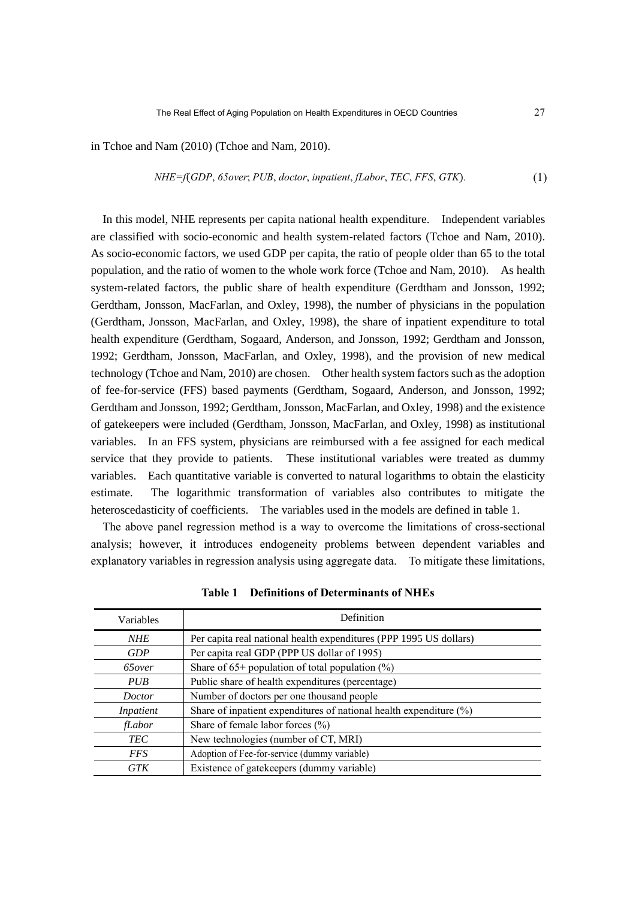in Tchoe and Nam (2010) (Tchoe and Nam, 2010).

*NHE=f*(*GDP*, *65over*; *PUB*, *doctor*, *inpatient*, *fLabor*, *TEC*, *FFS*, *GTK*)*.* (1)

In this model, NHE represents per capita national health expenditure. Independent variables are classified with socio-economic and health system-related factors (Tchoe and Nam, 2010). As socio-economic factors, we used GDP per capita, the ratio of people older than 65 to the total population, and the ratio of women to the whole work force (Tchoe and Nam, 2010). As health system-related factors, the public share of health expenditure (Gerdtham and Jonsson, 1992; Gerdtham, Jonsson, MacFarlan, and Oxley, 1998), the number of physicians in the population (Gerdtham, Jonsson, MacFarlan, and Oxley, 1998), the share of inpatient expenditure to total health expenditure (Gerdtham, Sogaard, Anderson, and Jonsson, 1992; Gerdtham and Jonsson, 1992; Gerdtham, Jonsson, MacFarlan, and Oxley, 1998), and the provision of new medical technology (Tchoe and Nam, 2010) are chosen. Other health system factors such as the adoption of fee-for-service (FFS) based payments (Gerdtham, Sogaard, Anderson, and Jonsson, 1992; Gerdtham and Jonsson, 1992; Gerdtham, Jonsson, MacFarlan, and Oxley, 1998) and the existence of gatekeepers were included (Gerdtham, Jonsson, MacFarlan, and Oxley, 1998) as institutional variables. In an FFS system, physicians are reimbursed with a fee assigned for each medical service that they provide to patients. These institutional variables were treated as dummy variables. Each quantitative variable is converted to natural logarithms to obtain the elasticity estimate. The logarithmic transformation of variables also contributes to mitigate the heteroscedasticity of coefficients. The variables used in the models are defined in table 1.

The above panel regression method is a way to overcome the limitations of cross-sectional analysis; however, it introduces endogeneity problems between dependent variables and explanatory variables in regression analysis using aggregate data. To mitigate these limitations,

| Variables      | Definition                                                            |
|----------------|-----------------------------------------------------------------------|
| <b>NHE</b>     | Per capita real national health expenditures (PPP 1995 US dollars)    |
| <b>GDP</b>     | Per capita real GDP (PPP US dollar of 1995)                           |
| 65 <i>over</i> | Share of $65+$ population of total population $(\%)$                  |
| PUB            | Public share of health expenditures (percentage)                      |
| <i>Doctor</i>  | Number of doctors per one thousand people                             |
| Inpatient      | Share of inpatient expenditures of national health expenditure $(\%)$ |
| fLabor         | Share of female labor forces $(\% )$                                  |
| <b>TEC</b>     | New technologies (number of CT, MRI)                                  |
| <i>FFS</i>     | Adoption of Fee-for-service (dummy variable)                          |
| GTK            | Existence of gatekeepers (dummy variable)                             |

**Table 1 Definitions of Determinants of NHEs**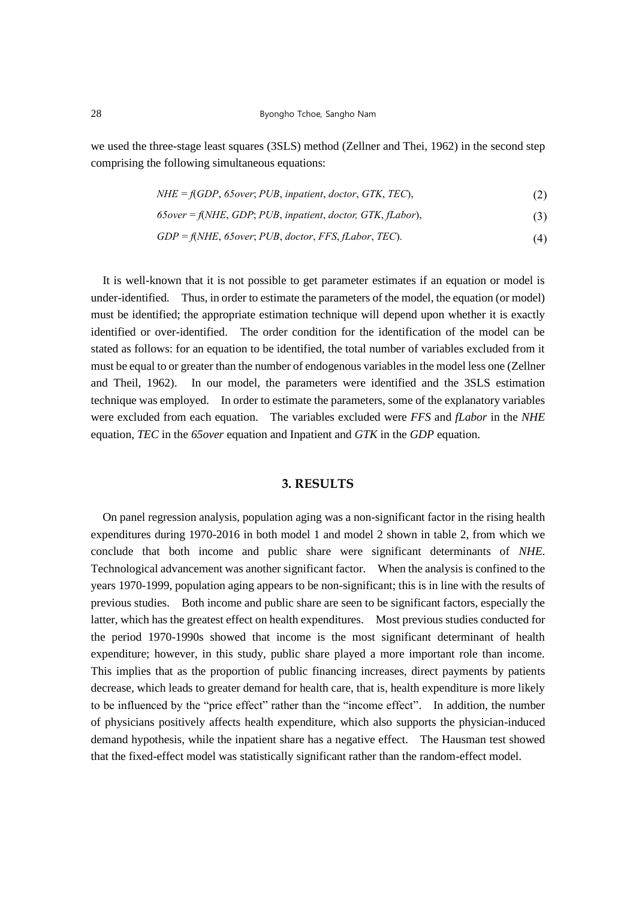we used the three-stage least squares (3SLS) method (Zellner and Thei, 1962) in the second step comprising the following simultaneous equations:

> *NHE = f*(*GDP*, *65over*; *PUB*, *inpatient*, *doctor*, *GTK*, *TEC*), (2)

> *65over = f*(*NHE*, *GDP*; *PUB*, *inpatient*, *doctor, GTK*, *fLabor*), (3)

$$
GDP = f(NHE, 65over; PUB, doctor, FFS, fLabelor, TEC).
$$
\n
$$
(4)
$$

It is well-known that it is not possible to get parameter estimates if an equation or model is under-identified. Thus, in order to estimate the parameters of the model, the equation (or model) must be identified; the appropriate estimation technique will depend upon whether it is exactly identified or over-identified. The order condition for the identification of the model can be stated as follows: for an equation to be identified, the total number of variables excluded from it must be equal to or greater than the number of endogenous variables in the model less one (Zellner and Theil, 1962). In our model, the parameters were identified and the 3SLS estimation technique was employed. In order to estimate the parameters, some of the explanatory variables were excluded from each equation. The variables excluded were *FFS* and *fLabor* in the *NHE* equation, *TEC* in the *65over* equation and Inpatient and *GTK* in the *GDP* equation.

## **3. RESULTS**

On panel regression analysis, population aging was a non-significant factor in the rising health expenditures during 1970-2016 in both model 1 and model 2 shown in table 2, from which we conclude that both income and public share were significant determinants of *NHE*. Technological advancement was another significant factor. When the analysis is confined to the years 1970-1999, population aging appears to be non-significant; this is in line with the results of previous studies. Both income and public share are seen to be significant factors, especially the latter, which has the greatest effect on health expenditures. Most previous studies conducted for the period 1970-1990s showed that income is the most significant determinant of health expenditure; however, in this study, public share played a more important role than income. This implies that as the proportion of public financing increases, direct payments by patients decrease, which leads to greater demand for health care, that is, health expenditure is more likely to be influenced by the "price effect" rather than the "income effect". In addition, the number of physicians positively affects health expenditure, which also supports the physician-induced demand hypothesis, while the inpatient share has a negative effect. The Hausman test showed that the fixed-effect model was statistically significant rather than the random-effect model.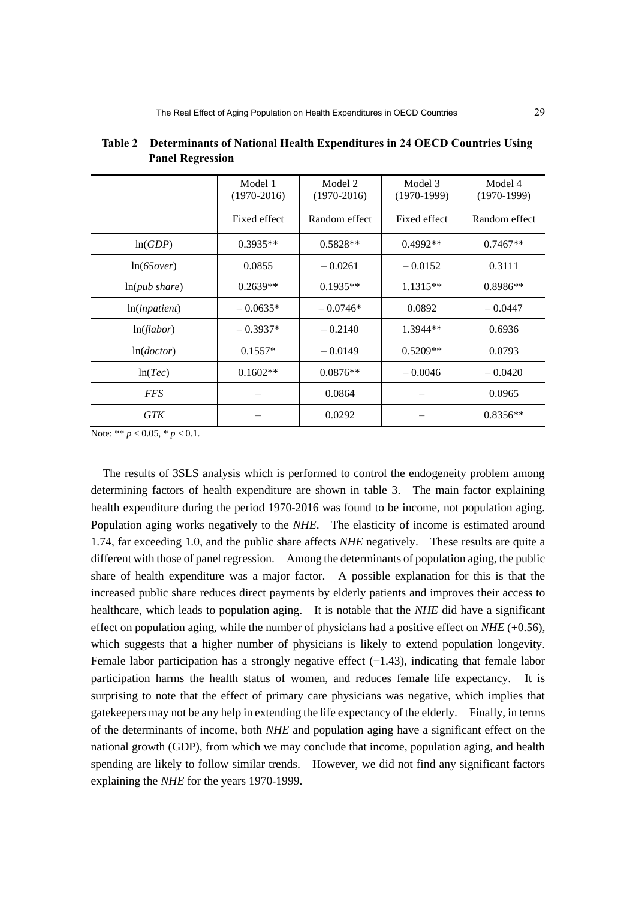|               | Model 1<br>$(1970-2016)$ | Model 2<br>$(1970-2016)$ | Model 3<br>$(1970-1999)$ | Model 4<br>$(1970-1999)$ |
|---------------|--------------------------|--------------------------|--------------------------|--------------------------|
|               | Fixed effect             | Random effect            | Fixed effect             | Random effect            |
| ln(GDP)       | $0.3935**$               | $0.5828**$               | $0.4992**$               | $0.7467**$               |
| ln(65 over)   | 0.0855                   | $-0.0261$                | $-0.0152$                | 0.3111                   |
| ln(pub share) | $0.2639**$               | $0.1935**$               | $1.1315**$               | $0.8986**$               |
| ln(inpatient) | $-0.0635*$               | $-0.0746*$               | 0.0892                   | $-0.0447$                |
| ln(flabor)    | $-0.3937*$               | $-0.2140$                | 1.3944**                 | 0.6936                   |
| ln(doctor)    | $0.1557*$                | $-0.0149$                | $0.5209**$               | 0.0793                   |
| ln(Tec)       | $0.1602**$               | $0.0876**$               | $-0.0046$                | $-0.0420$                |
| <b>FFS</b>    |                          | 0.0864                   |                          | 0.0965                   |
| <b>GTK</b>    |                          | 0.0292                   |                          | $0.8356**$               |

**Table 2 Determinants of National Health Expenditures in 24 OECD Countries Using Panel Regression**

Note: \*\*  $p < 0.05$ , \*  $p < 0.1$ .

The results of 3SLS analysis which is performed to control the endogeneity problem among determining factors of health expenditure are shown in table 3. The main factor explaining health expenditure during the period 1970-2016 was found to be income, not population aging. Population aging works negatively to the *NHE*. The elasticity of income is estimated around 1.74, far exceeding 1.0, and the public share affects *NHE* negatively. These results are quite a different with those of panel regression. Among the determinants of population aging, the public share of health expenditure was a major factor. A possible explanation for this is that the increased public share reduces direct payments by elderly patients and improves their access to healthcare, which leads to population aging. It is notable that the *NHE* did have a significant effect on population aging, while the number of physicians had a positive effect on *NHE* (+0.56), which suggests that a higher number of physicians is likely to extend population longevity. Female labor participation has a strongly negative effect  $(-1.43)$ , indicating that female labor participation harms the health status of women, and reduces female life expectancy. It is surprising to note that the effect of primary care physicians was negative, which implies that gatekeepers may not be any help in extending the life expectancy of the elderly. Finally, in terms of the determinants of income, both *NHE* and population aging have a significant effect on the national growth (GDP), from which we may conclude that income, population aging, and health spending are likely to follow similar trends. However, we did not find any significant factors explaining the *NHE* for the years 1970-1999.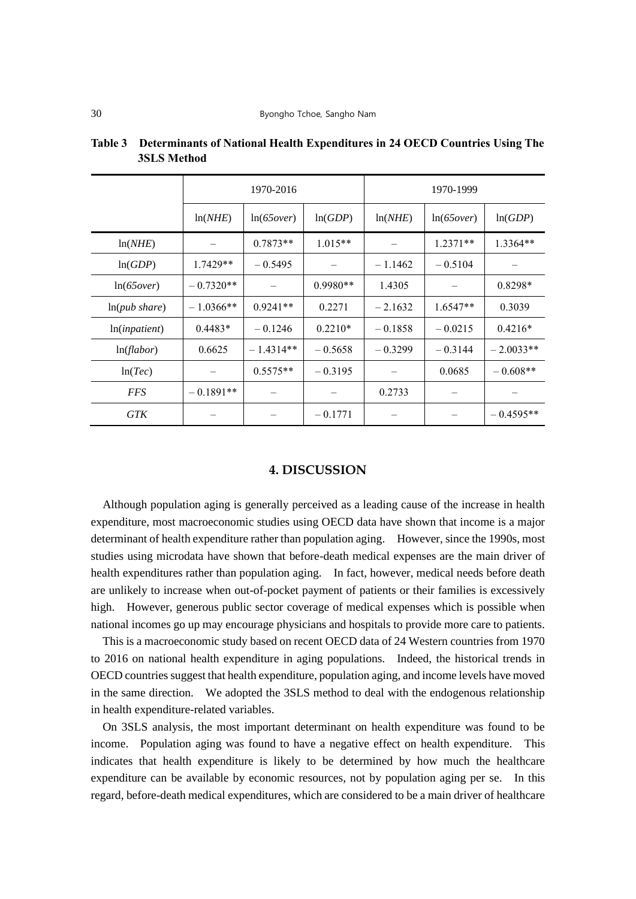|               | 1970-2016         |             |            | 1970-1999 |             |             |
|---------------|-------------------|-------------|------------|-----------|-------------|-------------|
|               | ln(NHE)           | ln(65 over) | ln(GDP)    | ln(NHE)   | ln(65 over) | ln(GDP)     |
| ln(NHE)       | $\qquad \qquad -$ | $0.7873**$  | $1.015**$  |           | $1.2371**$  | $1.3364**$  |
| ln(GDP)       | $1.7429**$        | $-0.5495$   |            | $-1.1462$ | $-0.5104$   |             |
| ln(65 over)   | $-0.7320**$       |             | $0.9980**$ | 1.4305    |             | $0.8298*$   |
| ln(pub share) | $-1.0366**$       | $0.9241**$  | 0.2271     | $-2.1632$ | $1.6547**$  | 0.3039      |
| ln(input)     | $0.4483*$         | $-0.1246$   | $0.2210*$  | $-0.1858$ | $-0.0215$   | $0.4216*$   |
| ln(flabor)    | 0.6625            | $-1.4314**$ | $-0.5658$  | $-0.3299$ | $-0.3144$   | $-2.0033**$ |
| ln(Tec)       |                   | $0.5575**$  | $-0.3195$  |           | 0.0685      | $-0.608**$  |
| <i>FFS</i>    | $-0.1891**$       |             |            | 0.2733    |             |             |
| GTK           |                   |             | $-0.1771$  |           |             | $-0.4595**$ |

**Table 3 Determinants of National Health Expenditures in 24 OECD Countries Using The 3SLS Method**

#### **4. DISCUSSION**

Although population aging is generally perceived as a leading cause of the increase in health expenditure, most macroeconomic studies using OECD data have shown that income is a major determinant of health expenditure rather than population aging. However, since the 1990s, most studies using microdata have shown that before-death medical expenses are the main driver of health expenditures rather than population aging. In fact, however, medical needs before death are unlikely to increase when out-of-pocket payment of patients or their families is excessively high. However, generous public sector coverage of medical expenses which is possible when national incomes go up may encourage physicians and hospitals to provide more care to patients.

This is a macroeconomic study based on recent OECD data of 24 Western countries from 1970 to 2016 on national health expenditure in aging populations. Indeed, the historical trends in OECD countries suggest that health expenditure, population aging, and income levels have moved in the same direction. We adopted the 3SLS method to deal with the endogenous relationship in health expenditure-related variables.

On 3SLS analysis, the most important determinant on health expenditure was found to be income. Population aging was found to have a negative effect on health expenditure. This indicates that health expenditure is likely to be determined by how much the healthcare expenditure can be available by economic resources, not by population aging per se. In this regard, before-death medical expenditures, which are considered to be a main driver of healthcare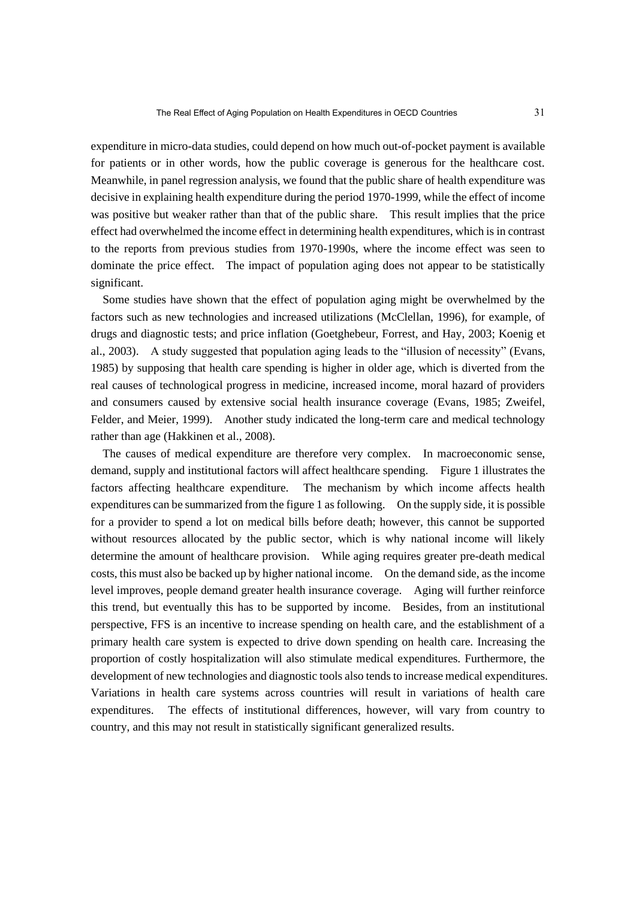expenditure in micro-data studies, could depend on how much out-of-pocket payment is available for patients or in other words, how the public coverage is generous for the healthcare cost. Meanwhile, in panel regression analysis, we found that the public share of health expenditure was decisive in explaining health expenditure during the period 1970-1999, while the effect of income was positive but weaker rather than that of the public share. This result implies that the price effect had overwhelmed the income effect in determining health expenditures, which is in contrast to the reports from previous studies from 1970-1990s, where the income effect was seen to dominate the price effect. The impact of population aging does not appear to be statistically significant.

Some studies have shown that the effect of population aging might be overwhelmed by the factors such as new technologies and increased utilizations (McClellan, 1996), for example, of drugs and diagnostic tests; and price inflation (Goetghebeur, Forrest, and Hay, 2003; Koenig et al., 2003). A study suggested that population aging leads to the "illusion of necessity" (Evans, 1985) by supposing that health care spending is higher in older age, which is diverted from the real causes of technological progress in medicine, increased income, moral hazard of providers and consumers caused by extensive social health insurance coverage (Evans, 1985; Zweifel, Felder, and Meier, 1999). Another study indicated the long-term care and medical technology rather than age (Hakkinen et al., 2008).

The causes of medical expenditure are therefore very complex. In macroeconomic sense, demand, supply and institutional factors will affect healthcare spending. Figure 1 illustrates the factors affecting healthcare expenditure. The mechanism by which income affects health expenditures can be summarized from the figure 1 as following. On the supply side, it is possible for a provider to spend a lot on medical bills before death; however, this cannot be supported without resources allocated by the public sector, which is why national income will likely determine the amount of healthcare provision. While aging requires greater pre-death medical costs, this must also be backed up by higher national income. On the demand side, as the income level improves, people demand greater health insurance coverage. Aging will further reinforce this trend, but eventually this has to be supported by income. Besides, from an institutional perspective, FFS is an incentive to increase spending on health care, and the establishment of a primary health care system is expected to drive down spending on health care. Increasing the proportion of costly hospitalization will also stimulate medical expenditures. Furthermore, the development of new technologies and diagnostic tools also tends to increase medical expenditures. Variations in health care systems across countries will result in variations of health care expenditures. The effects of institutional differences, however, will vary from country to country, and this may not result in statistically significant generalized results.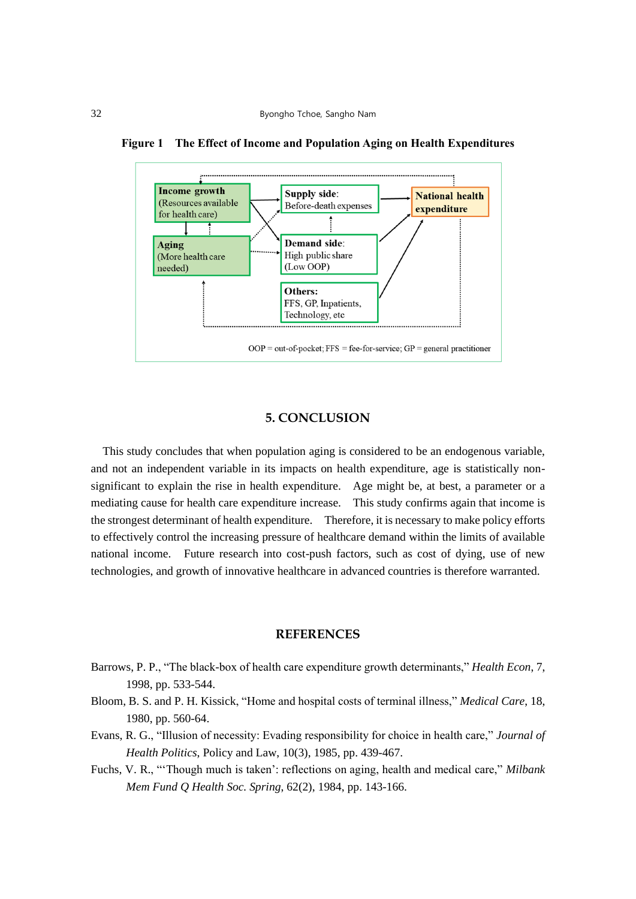

**Figure 1 The Effect of Income and Population Aging on Health Expenditures**

## **5. CONCLUSION**

This study concludes that when population aging is considered to be an endogenous variable, and not an independent variable in its impacts on health expenditure, age is statistically nonsignificant to explain the rise in health expenditure. Age might be, at best, a parameter or a mediating cause for health care expenditure increase. This study confirms again that income is the strongest determinant of health expenditure. Therefore, it is necessary to make policy efforts to effectively control the increasing pressure of healthcare demand within the limits of available national income. Future research into cost-push factors, such as cost of dying, use of new technologies, and growth of innovative healthcare in advanced countries is therefore warranted.

#### **REFERENCES**

- Barrows, P. P., "The black-box of health care expenditure growth determinants," *Health Econ*, 7, 1998, pp. 533-544.
- Bloom, B. S. and P. H. Kissick, "Home and hospital costs of terminal illness," *Medical Care*, 18, 1980, pp. 560-64.
- Evans, R. G., "Illusion of necessity: Evading responsibility for choice in health care," *Journal of Health Politics*, Policy and Law, 10(3), 1985, pp. 439-467.
- Fuchs, V. R., "'Though much is taken': reflections on aging, health and medical care," *Milbank Mem Fund Q Health Soc. Spring*, 62(2), 1984, pp. 143-166.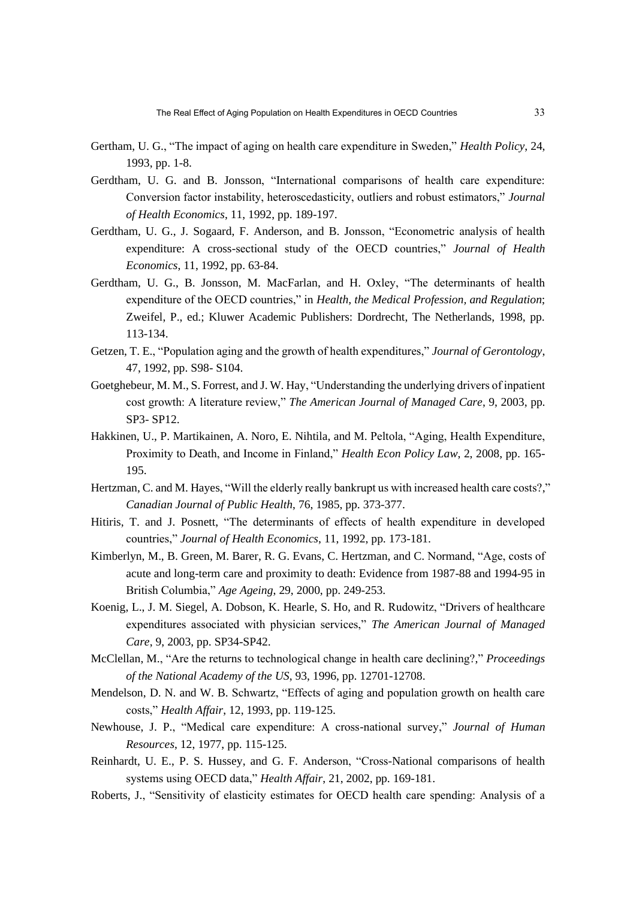- Gertham, U. G., "The impact of aging on health care expenditure in Sweden," *Health Policy*, 24, 1993, pp. 1-8.
- Gerdtham, U. G. and B. Jonsson, "International comparisons of health care expenditure: Conversion factor instability, heteroscedasticity, outliers and robust estimators," *Journal of Health Economics*, 11, 1992, pp. 189-197.
- Gerdtham, U. G., J. Sogaard, F. Anderson, and B. Jonsson, "Econometric analysis of health expenditure: A cross-sectional study of the OECD countries," *Journal of Health Economics*, 11, 1992, pp. 63-84.
- Gerdtham, U. G., B. Jonsson, M. MacFarlan, and H. Oxley, "The determinants of health expenditure of the OECD countries," in *Health, the Medical Profession, and Regulation*; Zweifel, P., ed.; Kluwer Academic Publishers: Dordrecht, The Netherlands, 1998, pp. 113-134.
- Getzen, T. E., "Population aging and the growth of health expenditures," *Journal of Gerontology*, 47, 1992, pp. S98- S104.
- Goetghebeur, M. M., S. Forrest, and J. W. Hay, "Understanding the underlying drivers of inpatient cost growth: A literature review," *The American Journal of Managed Care*, 9, 2003, pp. SP3- SP12.
- Hakkinen, U., P. Martikainen, A. Noro, E. Nihtila, and M. Peltola, "Aging, Health Expenditure, Proximity to Death, and Income in Finland," *Health Econ Policy Law*, 2, 2008, pp. 165- 195.
- Hertzman, C. and M. Hayes, "Will the elderly really bankrupt us with increased health care costs?," *Canadian Journal of Public Health*, 76, 1985, pp. 373-377.
- Hitiris, T. and J. Posnett, "The determinants of effects of health expenditure in developed countries," *Journal of Health Economics*, 11, 1992, pp. 173-181.
- Kimberlyn, M., B. Green, M. Barer, R. G. Evans, C. Hertzman, and C. Normand, "Age, costs of acute and long-term care and proximity to death: Evidence from 1987-88 and 1994-95 in British Columbia," *Age Ageing*, 29, 2000, pp. 249-253.
- Koenig, L., J. M. Siegel, A. Dobson, K. Hearle, S. Ho, and R. Rudowitz, "Drivers of healthcare expenditures associated with physician services," *The American Journal of Managed Care*, 9, 2003, pp. SP34-SP42.
- McClellan, M., "Are the returns to technological change in health care declining?," *Proceedings of the National Academy of the US*, 93, 1996, pp. 12701-12708.
- Mendelson, D. N. and W. B. Schwartz, "Effects of aging and population growth on health care costs," *Health Affair*, 12, 1993, pp. 119-125.
- Newhouse, J. P., "Medical care expenditure: A cross-national survey," *Journal of Human Resources*, 12, 1977, pp. 115-125.
- Reinhardt, U. E., P. S. Hussey, and G. F. Anderson, "Cross-National comparisons of health systems using OECD data," *Health Affair*, 21, 2002, pp. 169-181.
- Roberts, J., "Sensitivity of elasticity estimates for OECD health care spending: Analysis of a